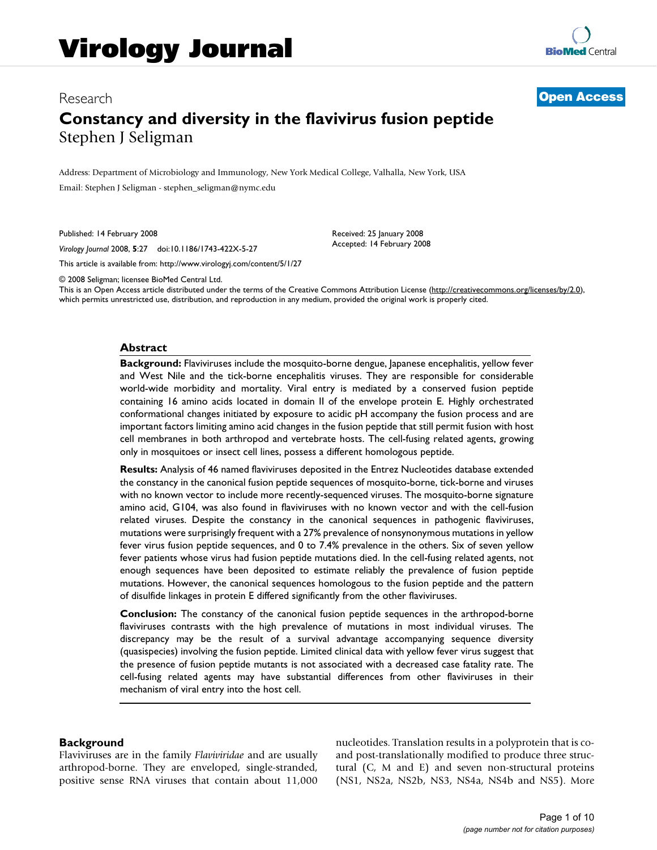# Research **[Open Access](http://www.biomedcentral.com/info/about/charter/) Constancy and diversity in the flavivirus fusion peptide** Stephen J Seligman

Address: Department of Microbiology and Immunology, New York Medical College, Valhalla, New York, USA Email: Stephen J Seligman - stephen\_seligman@nymc.edu

Published: 14 February 2008

*Virology Journal* 2008, **5**:27 doi:10.1186/1743-422X-5-27

[This article is available from: http://www.virologyj.com/content/5/1/27](http://www.virologyj.com/content/5/1/27)

© 2008 Seligman; licensee BioMed Central Ltd.

This is an Open Access article distributed under the terms of the Creative Commons Attribution License [\(http://creativecommons.org/licenses/by/2.0\)](http://creativecommons.org/licenses/by/2.0), which permits unrestricted use, distribution, and reproduction in any medium, provided the original work is properly cited.

Received: 25 January 2008 Accepted: 14 February 2008

### **Abstract**

**Background:** Flaviviruses include the mosquito-borne dengue, Japanese encephalitis, yellow fever and West Nile and the tick-borne encephalitis viruses. They are responsible for considerable world-wide morbidity and mortality. Viral entry is mediated by a conserved fusion peptide containing 16 amino acids located in domain II of the envelope protein E. Highly orchestrated conformational changes initiated by exposure to acidic pH accompany the fusion process and are important factors limiting amino acid changes in the fusion peptide that still permit fusion with host cell membranes in both arthropod and vertebrate hosts. The cell-fusing related agents, growing only in mosquitoes or insect cell lines, possess a different homologous peptide.

**Results:** Analysis of 46 named flaviviruses deposited in the Entrez Nucleotides database extended the constancy in the canonical fusion peptide sequences of mosquito-borne, tick-borne and viruses with no known vector to include more recently-sequenced viruses. The mosquito-borne signature amino acid, G104, was also found in flaviviruses with no known vector and with the cell-fusion related viruses. Despite the constancy in the canonical sequences in pathogenic flaviviruses, mutations were surprisingly frequent with a 27% prevalence of nonsynonymous mutations in yellow fever virus fusion peptide sequences, and 0 to 7.4% prevalence in the others. Six of seven yellow fever patients whose virus had fusion peptide mutations died. In the cell-fusing related agents, not enough sequences have been deposited to estimate reliably the prevalence of fusion peptide mutations. However, the canonical sequences homologous to the fusion peptide and the pattern of disulfide linkages in protein E differed significantly from the other flaviviruses.

**Conclusion:** The constancy of the canonical fusion peptide sequences in the arthropod-borne flaviviruses contrasts with the high prevalence of mutations in most individual viruses. The discrepancy may be the result of a survival advantage accompanying sequence diversity (quasispecies) involving the fusion peptide. Limited clinical data with yellow fever virus suggest that the presence of fusion peptide mutants is not associated with a decreased case fatality rate. The cell-fusing related agents may have substantial differences from other flaviviruses in their mechanism of viral entry into the host cell.

#### **Background**

Flaviviruses are in the family *Flaviviridae* and are usually arthropod-borne. They are enveloped, single-stranded, positive sense RNA viruses that contain about 11,000 nucleotides. Translation results in a polyprotein that is coand post-translationally modified to produce three structural (C, M and E) and seven non-structural proteins (NS1, NS2a, NS2b, NS3, NS4a, NS4b and NS5). More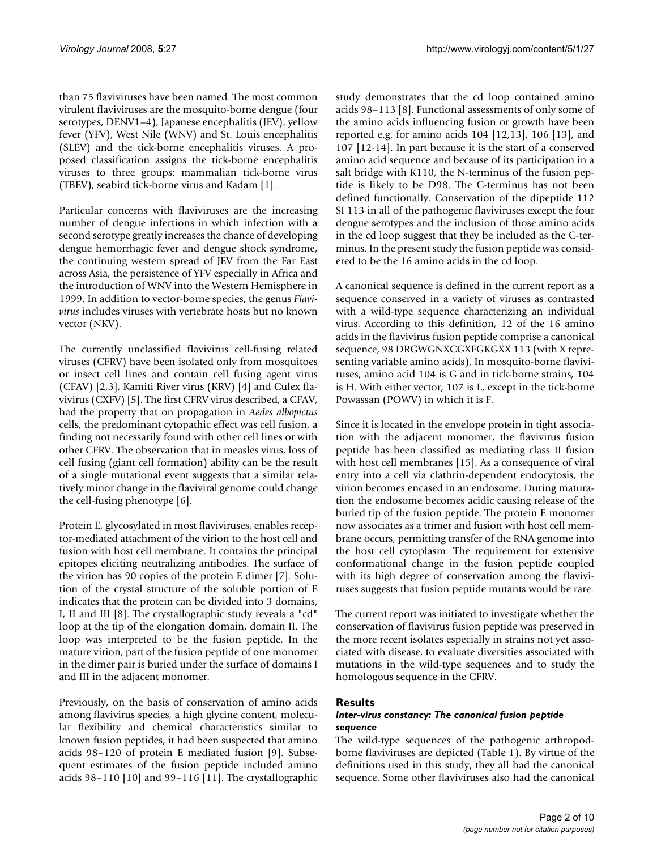than 75 flaviviruses have been named. The most common virulent flaviviruses are the mosquito-borne dengue (four serotypes, DENV1-4), Japanese encephalitis (JEV), yellow fever (YFV), West Nile (WNV) and St. Louis encephalitis (SLEV) and the tick-borne encephalitis viruses. A proposed classification assigns the tick-borne encephalitis viruses to three groups: mammalian tick-borne virus (TBEV), seabird tick-borne virus and Kadam [1].

Particular concerns with flaviviruses are the increasing number of dengue infections in which infection with a second serotype greatly increases the chance of developing dengue hemorrhagic fever and dengue shock syndrome, the continuing western spread of JEV from the Far East across Asia, the persistence of YFV especially in Africa and the introduction of WNV into the Western Hemisphere in 1999. In addition to vector-borne species, the genus *Flavivirus* includes viruses with vertebrate hosts but no known vector (NKV).

The currently unclassified flavivirus cell-fusing related viruses (CFRV) have been isolated only from mosquitoes or insect cell lines and contain cell fusing agent virus (CFAV) [2,3], Kamiti River virus (KRV) [4] and Culex flavivirus (CXFV) [5]. The first CFRV virus described, a CFAV, had the property that on propagation in *Aedes albopictus* cells, the predominant cytopathic effect was cell fusion, a finding not necessarily found with other cell lines or with other CFRV. The observation that in measles virus, loss of cell fusing (giant cell formation) ability can be the result of a single mutational event suggests that a similar relatively minor change in the flaviviral genome could change the cell-fusing phenotype [6].

Protein E, glycosylated in most flaviviruses, enables receptor-mediated attachment of the virion to the host cell and fusion with host cell membrane. It contains the principal epitopes eliciting neutralizing antibodies. The surface of the virion has 90 copies of the protein E dimer [7]. Solution of the crystal structure of the soluble portion of E indicates that the protein can be divided into 3 domains, I, II and III [8]. The crystallographic study reveals a "cd" loop at the tip of the elongation domain, domain II. The loop was interpreted to be the fusion peptide. In the mature virion, part of the fusion peptide of one monomer in the dimer pair is buried under the surface of domains I and III in the adjacent monomer.

Previously, on the basis of conservation of amino acids among flavivirus species, a high glycine content, molecular flexibility and chemical characteristics similar to known fusion peptides, it had been suspected that amino acids 98–120 of protein E mediated fusion [9]. Subsequent estimates of the fusion peptide included amino acids 98–110 [10] and 99–116 [11]. The crystallographic study demonstrates that the cd loop contained amino acids 98–113 [8]. Functional assessments of only some of the amino acids influencing fusion or growth have been reported e.g. for amino acids 104 [12,13], 106 [13], and 107 [12-14]. In part because it is the start of a conserved amino acid sequence and because of its participation in a salt bridge with K110, the N-terminus of the fusion peptide is likely to be D98. The C-terminus has not been defined functionally. Conservation of the dipeptide 112 SI 113 in all of the pathogenic flaviviruses except the four dengue serotypes and the inclusion of those amino acids in the cd loop suggest that they be included as the C-terminus. In the present study the fusion peptide was considered to be the 16 amino acids in the cd loop.

A canonical sequence is defined in the current report as a sequence conserved in a variety of viruses as contrasted with a wild-type sequence characterizing an individual virus. According to this definition, 12 of the 16 amino acids in the flavivirus fusion peptide comprise a canonical sequence, 98 DRGWGNXCGXFGKGXX 113 (with X representing variable amino acids). In mosquito-borne flaviviruses, amino acid 104 is G and in tick-borne strains, 104 is H. With either vector, 107 is L, except in the tick-borne Powassan (POWV) in which it is F.

Since it is located in the envelope protein in tight association with the adjacent monomer, the flavivirus fusion peptide has been classified as mediating class II fusion with host cell membranes [15]. As a consequence of viral entry into a cell via clathrin-dependent endocytosis, the virion becomes encased in an endosome. During maturation the endosome becomes acidic causing release of the buried tip of the fusion peptide. The protein E monomer now associates as a trimer and fusion with host cell membrane occurs, permitting transfer of the RNA genome into the host cell cytoplasm. The requirement for extensive conformational change in the fusion peptide coupled with its high degree of conservation among the flaviviruses suggests that fusion peptide mutants would be rare.

The current report was initiated to investigate whether the conservation of flavivirus fusion peptide was preserved in the more recent isolates especially in strains not yet associated with disease, to evaluate diversities associated with mutations in the wild-type sequences and to study the homologous sequence in the CFRV.

# **Results**

# *Inter-virus constancy: The canonical fusion peptide sequence*

The wild-type sequences of the pathogenic arthropodborne flaviviruses are depicted (Table 1). By virtue of the definitions used in this study, they all had the canonical sequence. Some other flaviviruses also had the canonical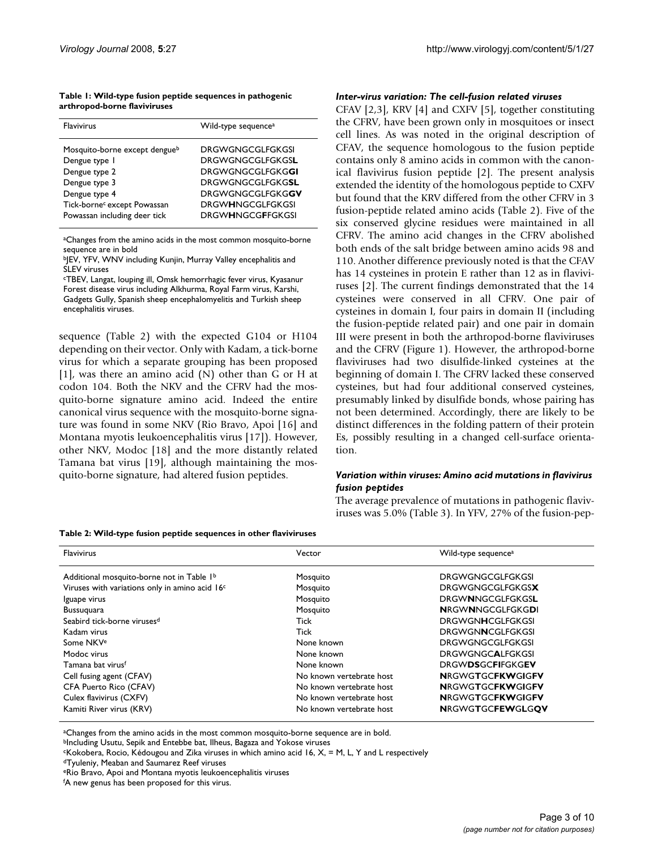| Table 1: Wild-type fusion peptide sequences in pathogenic |  |
|-----------------------------------------------------------|--|
| arthropod-borne flaviviruses                              |  |

| <b>Flavivirus</b>                                                                                                                                                            | Wild-type sequence <sup>a</sup>                                                                                                                                     |  |
|------------------------------------------------------------------------------------------------------------------------------------------------------------------------------|---------------------------------------------------------------------------------------------------------------------------------------------------------------------|--|
| Mosquito-borne except dengueb<br>Dengue type I<br>Dengue type 2<br>Dengue type 3<br>Dengue type 4<br>Tick-borne <sup>c</sup> except Powassan<br>Powassan including deer tick | DRGWGNGCGI FGKGSI<br>DRGWGNGCGI FGKGSL<br>DRGWGNGCGI FGKG <b>GI</b><br>DRGWGNGCGI FGKGSL<br><b>DRGWGNGCGLFGKGGV</b><br>DRGWHNGCGI FGKGSI<br><b>DRGWHNGCGFFGKGSL</b> |  |
|                                                                                                                                                                              |                                                                                                                                                                     |  |

aChanges from the amino acids in the most common mosquito-borne sequence are in bold

bJEV, YFV, WNV including Kunjin, Murray Valley encephalitis and SLEV viruses

cTBEV, Langat, louping ill, Omsk hemorrhagic fever virus, Kyasanur Forest disease virus including Alkhurma, Royal Farm virus, Karshi, Gadgets Gully, Spanish sheep encephalomyelitis and Turkish sheep encephalitis viruses.

sequence (Table 2) with the expected G104 or H104 depending on their vector. Only with Kadam, a tick-borne virus for which a separate grouping has been proposed [1], was there an amino acid (N) other than G or H at codon 104. Both the NKV and the CFRV had the mosquito-borne signature amino acid. Indeed the entire canonical virus sequence with the mosquito-borne signature was found in some NKV (Rio Bravo, Apoi [16] and Montana myotis leukoencephalitis virus [17]). However, other NKV, Modoc [18] and the more distantly related Tamana bat virus [19], although maintaining the mosquito-borne signature, had altered fusion peptides.

#### **Table 2: Wild-type fusion peptide sequences in other flaviviruses**

### *Inter-virus variation: The cell-fusion related viruses*

CFAV [2,3], KRV [4] and CXFV [5], together constituting the CFRV, have been grown only in mosquitoes or insect cell lines. As was noted in the original description of CFAV, the sequence homologous to the fusion peptide contains only 8 amino acids in common with the canonical flavivirus fusion peptide [2]. The present analysis extended the identity of the homologous peptide to CXFV but found that the KRV differed from the other CFRV in 3 fusion-peptide related amino acids (Table 2). Five of the six conserved glycine residues were maintained in all CFRV. The amino acid changes in the CFRV abolished both ends of the salt bridge between amino acids 98 and 110. Another difference previously noted is that the CFAV has 14 cysteines in protein E rather than 12 as in flaviviruses [2]. The current findings demonstrated that the 14 cysteines were conserved in all CFRV. One pair of cysteines in domain I, four pairs in domain II (including the fusion-peptide related pair) and one pair in domain III were present in both the arthropod-borne flaviviruses and the CFRV (Figure 1). However, the arthropod-borne flaviviruses had two disulfide-linked cysteines at the beginning of domain I. The CFRV lacked these conserved cysteines, but had four additional conserved cysteines, presumably linked by disulfide bonds, whose pairing has not been determined. Accordingly, there are likely to be distinct differences in the folding pattern of their protein Es, possibly resulting in a changed cell-surface orientation.

### *Variation within viruses: Amino acid mutations in flavivirus fusion peptides*

The average prevalence of mutations in pathogenic flaviviruses was 5.0% (Table 3). In YFV, 27% of the fusion-pep-

| Vector                   | Wild-type sequence <sup>a</sup> |
|--------------------------|---------------------------------|
| Mosquito                 | <b>DRGWGNGCGLFGKGSI</b>         |
| Mosquito                 | <b>DRGWGNGCGLFGKGSX</b>         |
| Mosquito                 | <b>DRGWNNGCGLFGKGSL</b>         |
| Mosquito                 | <b>NRGWNNGCGLFGKGDI</b>         |
| Tick                     | <b>DRGWGNHCGLFGKGSI</b>         |
| Tick                     | <b>DRGWGNNCGLFGKGSI</b>         |
| None known               | <b>DRGWGNGCGLFGKGSI</b>         |
| None known               | <b>DRGWGNGCALFGKGSI</b>         |
| None known               | <b>DRGWDSGCFIFGKGEV</b>         |
| No known vertebrate host | <b>NRGWGTGCFKWGIGFV</b>         |
| No known vertebrate host | <b>NRGWGTGCFKWGIGFV</b>         |
| No known vertebrate host | <b>NRGWGTGCFKWGIGFV</b>         |
| No known vertebrate host | <b>NRGWGTGCFEWGLGQV</b>         |
|                          |                                 |

aChanges from the amino acids in the most common mosquito-borne sequence are in bold.

bIncluding Usutu, Sepik and Entebbe bat, Ilheus, Bagaza and Yokose viruses

 $cK$ okobera, Rocio, Kédougou and Zika viruses in which amino acid 16,  $X$ , = M, L, Y and L respectively

dTyuleniy, Meaban and Saumarez Reef viruses

eRio Bravo, Apoi and Montana myotis leukoencephalitis viruses

f A new genus has been proposed for this virus.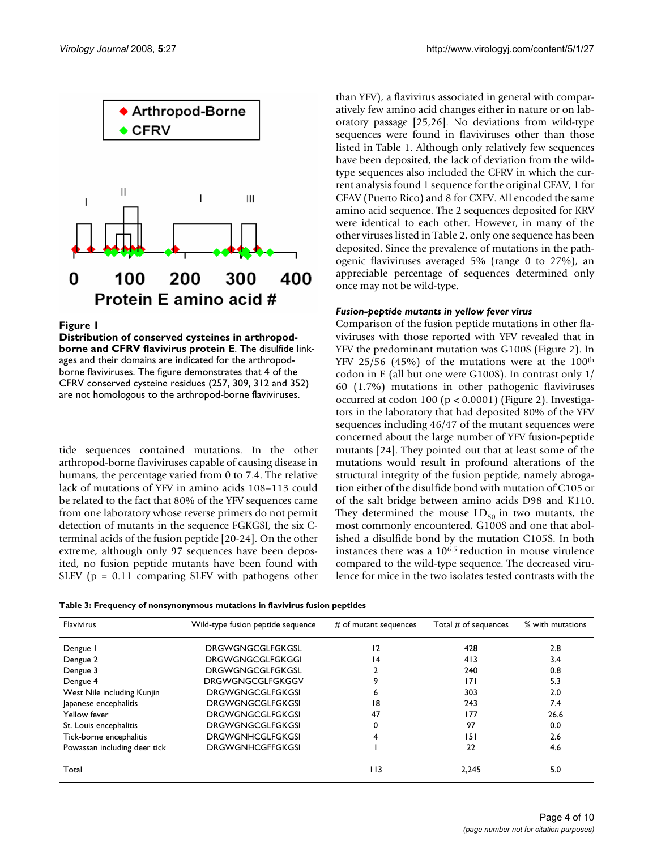

### Figure 1

**Distribution of conserved cysteines in arthropodborne and CFRV flavivirus protein E**. The disulfide linkages and their domains are indicated for the arthropodborne flaviviruses. The figure demonstrates that 4 of the CFRV conserved cysteine residues (257, 309, 312 and 352) are not homologous to the arthropod-borne flaviviruses.

tide sequences contained mutations. In the other arthropod-borne flaviviruses capable of causing disease in humans, the percentage varied from 0 to 7.4. The relative lack of mutations of YFV in amino acids 108–113 could be related to the fact that 80% of the YFV sequences came from one laboratory whose reverse primers do not permit detection of mutants in the sequence FGKGSI, the six Cterminal acids of the fusion peptide [20-24]. On the other extreme, although only 97 sequences have been deposited, no fusion peptide mutants have been found with SLEV ( $p = 0.11$  comparing SLEV with pathogens other than YFV), a flavivirus associated in general with comparatively few amino acid changes either in nature or on laboratory passage [25,26]. No deviations from wild-type sequences were found in flaviviruses other than those listed in Table 1. Although only relatively few sequences have been deposited, the lack of deviation from the wildtype sequences also included the CFRV in which the current analysis found 1 sequence for the original CFAV, 1 for CFAV (Puerto Rico) and 8 for CXFV. All encoded the same amino acid sequence. The 2 sequences deposited for KRV were identical to each other. However, in many of the other viruses listed in Table 2, only one sequence has been deposited. Since the prevalence of mutations in the pathogenic flaviviruses averaged 5% (range 0 to 27%), an appreciable percentage of sequences determined only once may not be wild-type.

### *Fusion-peptide mutants in yellow fever virus*

Comparison of the fusion peptide mutations in other flaviviruses with those reported with YFV revealed that in YFV the predominant mutation was G100S (Figure 2). In  $YFV 25/56$  (45%) of the mutations were at the 100<sup>th</sup> codon in E (all but one were G100S). In contrast only 1/ 60 (1.7%) mutations in other pathogenic flaviviruses occurred at codon 100 (p < 0.0001) (Figure 2). Investigators in the laboratory that had deposited 80% of the YFV sequences including 46/47 of the mutant sequences were concerned about the large number of YFV fusion-peptide mutants [24]. They pointed out that at least some of the mutations would result in profound alterations of the structural integrity of the fusion peptide, namely abrogation either of the disulfide bond with mutation of C105 or of the salt bridge between amino acids D98 and K110. They determined the mouse  $LD_{50}$  in two mutants, the most commonly encountered, G100S and one that abolished a disulfide bond by the mutation C105S. In both instances there was a 106.5 reduction in mouse virulence compared to the wild-type sequence. The decreased virulence for mice in the two isolates tested contrasts with the

| Table 3: Frequency of nonsynonymous mutations in flavivirus fusion peptides |
|-----------------------------------------------------------------------------|
|-----------------------------------------------------------------------------|

| <b>Flavivirus</b>            | Wild-type fusion peptide sequence | # of mutant sequences | Total # of sequences | % with mutations |
|------------------------------|-----------------------------------|-----------------------|----------------------|------------------|
| Dengue                       | <b>DRGWGNGCGLFGKGSL</b>           | $\overline{2}$        | 428                  | 2.8              |
| Dengue 2                     | <b>DRGWGNGCGLFGKGGI</b>           | 4                     | 413                  | 3.4              |
| Dengue 3                     | <b>DRGWGNGCGLFGKGSL</b>           |                       | 240                  | 0.8              |
| Dengue 4                     | <b>DRGWGNGCGLFGKGGV</b>           | 9                     | 7                    | 5.3              |
| West Nile including Kunjin   | <b>DRGWGNGCGLFGKGSI</b>           | 6                     | 303                  | 2.0              |
| Japanese encephalitis        | <b>DRGWGNGCGLFGKGSI</b>           | 18                    | 243                  | 7.4              |
| Yellow fever                 | <b>DRGWGNGCGLFGKGSI</b>           | 47                    | 177                  | 26.6             |
| St. Louis encephalitis       | <b>DRGWGNGCGLFGKGSI</b>           | 0                     | 97                   | 0.0              |
| Tick-borne encephalitis      | <b>DRGWGNHCGLFGKGSI</b>           | 4                     | 151                  | 2.6              |
| Powassan including deer tick | <b>DRGWGNHCGFFGKGSI</b>           |                       | 22                   | 4.6              |
| Total                        |                                   | 113                   | 2.245                | 5.0              |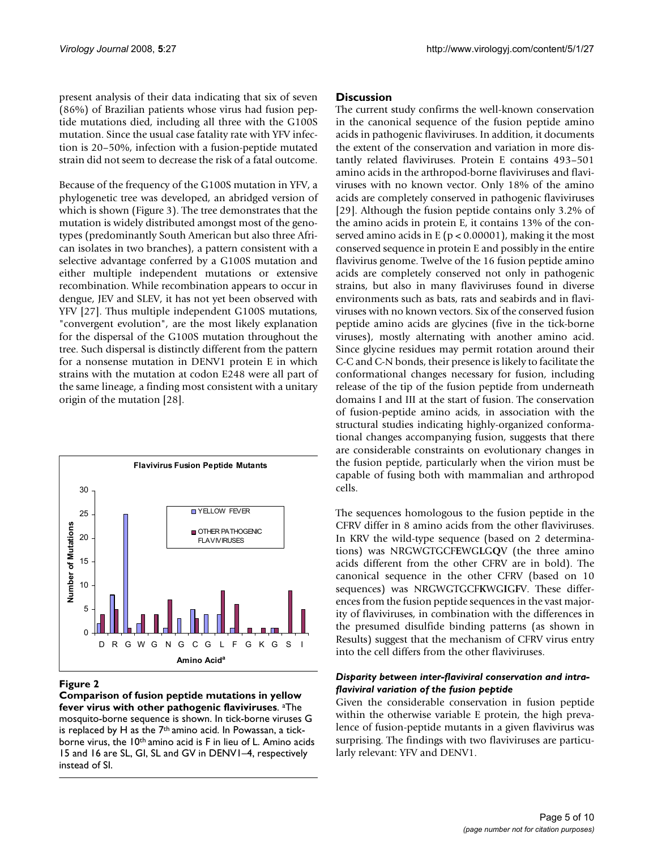present analysis of their data indicating that six of seven (86%) of Brazilian patients whose virus had fusion peptide mutations died, including all three with the G100S mutation. Since the usual case fatality rate with YFV infection is 20–50%, infection with a fusion-peptide mutated strain did not seem to decrease the risk of a fatal outcome.

Because of the frequency of the G100S mutation in YFV, a phylogenetic tree was developed, an abridged version of which is shown (Figure 3). The tree demonstrates that the mutation is widely distributed amongst most of the genotypes (predominantly South American but also three African isolates in two branches), a pattern consistent with a selective advantage conferred by a G100S mutation and either multiple independent mutations or extensive recombination. While recombination appears to occur in dengue, JEV and SLEV, it has not yet been observed with YFV [27]. Thus multiple independent G100S mutations, "convergent evolution", are the most likely explanation for the dispersal of the G100S mutation throughout the tree. Such dispersal is distinctly different from the pattern for a nonsense mutation in DENV1 protein E in which strains with the mutation at codon E248 were all part of the same lineage, a finding most consistent with a unitary origin of the mutation [28].



# Figure 2

**Comparison of fusion peptide mutations in yellow fever virus with other pathogenic flaviviruses**. aThe mosquito-borne sequence is shown. In tick-borne viruses G is replaced by H as the  $7<sup>th</sup>$  amino acid. In Powassan, a tickborne virus, the 10<sup>th</sup> amino acid is F in lieu of L. Amino acids 15 and 16 are SL, GI, SL and GV in DENV1–4, respectively instead of SI.

# **Discussion**

The current study confirms the well-known conservation in the canonical sequence of the fusion peptide amino acids in pathogenic flaviviruses. In addition, it documents the extent of the conservation and variation in more distantly related flaviviruses. Protein E contains 493–501 amino acids in the arthropod-borne flaviviruses and flaviviruses with no known vector. Only 18% of the amino acids are completely conserved in pathogenic flaviviruses [29]. Although the fusion peptide contains only 3.2% of the amino acids in protein E, it contains 13% of the conserved amino acids in  $E(p < 0.00001)$ , making it the most conserved sequence in protein E and possibly in the entire flavivirus genome. Twelve of the 16 fusion peptide amino acids are completely conserved not only in pathogenic strains, but also in many flaviviruses found in diverse environments such as bats, rats and seabirds and in flaviviruses with no known vectors. Six of the conserved fusion peptide amino acids are glycines (five in the tick-borne viruses), mostly alternating with another amino acid. Since glycine residues may permit rotation around their C-C and C-N bonds, their presence is likely to facilitate the conformational changes necessary for fusion, including release of the tip of the fusion peptide from underneath domains I and III at the start of fusion. The conservation of fusion-peptide amino acids, in association with the structural studies indicating highly-organized conformational changes accompanying fusion, suggests that there are considerable constraints on evolutionary changes in the fusion peptide, particularly when the virion must be capable of fusing both with mammalian and arthropod cells.

The sequences homologous to the fusion peptide in the CFRV differ in 8 amino acids from the other flaviviruses. In KRV the wild-type sequence (based on 2 determinations) was NRGWGTGCF**E**WG**L**G**Q**V (the three amino acids different from the other CFRV are in bold). The canonical sequence in the other CFRV (based on 10 sequences) was NRGWGTGCF**K**WG**I**G**F**V. These differences from the fusion peptide sequences in the vast majority of flaviviruses, in combination with the differences in the presumed disulfide binding patterns (as shown in Results) suggest that the mechanism of CFRV virus entry into the cell differs from the other flaviviruses.

# *Disparity between inter-flaviviral conservation and intraflaviviral variation of the fusion peptide*

Given the considerable conservation in fusion peptide within the otherwise variable E protein, the high prevalence of fusion-peptide mutants in a given flavivirus was surprising. The findings with two flaviviruses are particularly relevant: YFV and DENV1.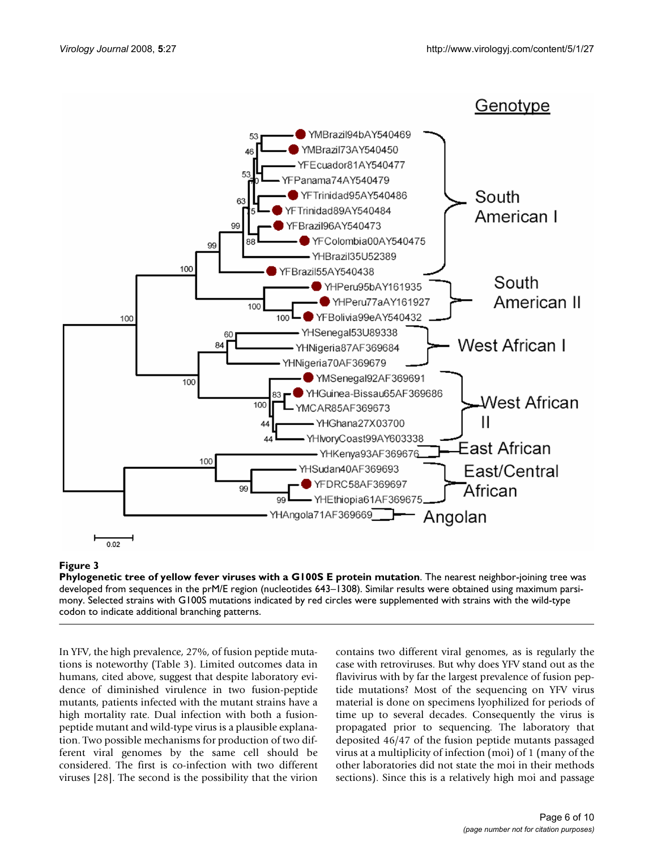

# **Figure 3**

**Phylogenetic tree of yellow fever viruses with a G100S E protein mutation**. The nearest neighbor-joining tree was developed from sequences in the prM/E region (nucleotides 643–1308). Similar results were obtained using maximum parsimony. Selected strains with G100S mutations indicated by red circles were supplemented with strains with the wild-type codon to indicate additional branching patterns.

In YFV, the high prevalence, 27%, of fusion peptide mutations is noteworthy (Table 3). Limited outcomes data in humans, cited above, suggest that despite laboratory evidence of diminished virulence in two fusion-peptide mutants, patients infected with the mutant strains have a high mortality rate. Dual infection with both a fusionpeptide mutant and wild-type virus is a plausible explanation. Two possible mechanisms for production of two different viral genomes by the same cell should be considered. The first is co-infection with two different viruses [28]. The second is the possibility that the virion contains two different viral genomes, as is regularly the case with retroviruses. But why does YFV stand out as the flavivirus with by far the largest prevalence of fusion peptide mutations? Most of the sequencing on YFV virus material is done on specimens lyophilized for periods of time up to several decades. Consequently the virus is propagated prior to sequencing. The laboratory that deposited 46/47 of the fusion peptide mutants passaged virus at a multiplicity of infection (moi) of 1 (many of the other laboratories did not state the moi in their methods sections). Since this is a relatively high moi and passage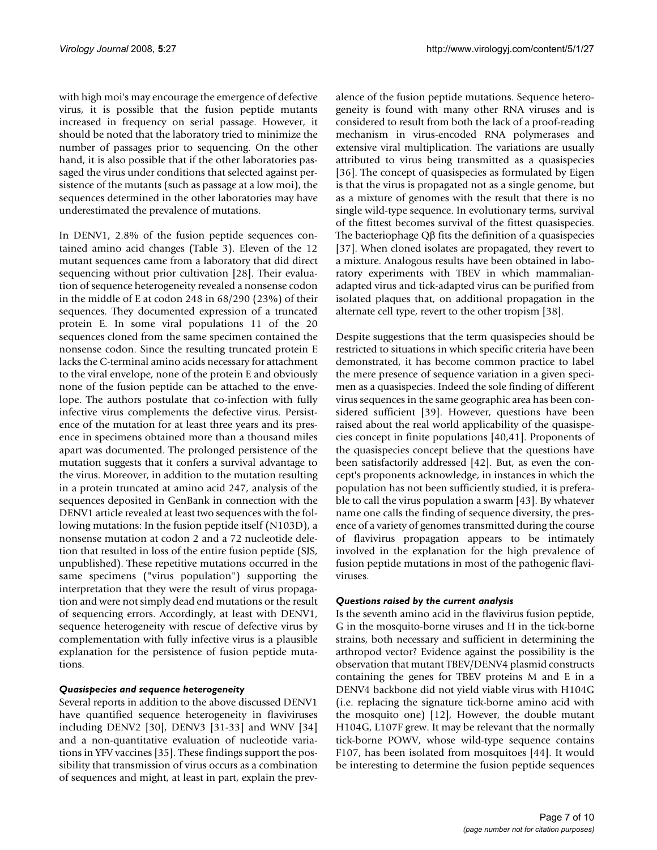with high moi's may encourage the emergence of defective virus, it is possible that the fusion peptide mutants increased in frequency on serial passage. However, it should be noted that the laboratory tried to minimize the number of passages prior to sequencing. On the other hand, it is also possible that if the other laboratories passaged the virus under conditions that selected against persistence of the mutants (such as passage at a low moi), the sequences determined in the other laboratories may have underestimated the prevalence of mutations.

In DENV1, 2.8% of the fusion peptide sequences contained amino acid changes (Table 3). Eleven of the 12 mutant sequences came from a laboratory that did direct sequencing without prior cultivation [28]. Their evaluation of sequence heterogeneity revealed a nonsense codon in the middle of E at codon 248 in 68/290 (23%) of their sequences. They documented expression of a truncated protein E. In some viral populations 11 of the 20 sequences cloned from the same specimen contained the nonsense codon. Since the resulting truncated protein E lacks the C-terminal amino acids necessary for attachment to the viral envelope, none of the protein E and obviously none of the fusion peptide can be attached to the envelope. The authors postulate that co-infection with fully infective virus complements the defective virus. Persistence of the mutation for at least three years and its presence in specimens obtained more than a thousand miles apart was documented. The prolonged persistence of the mutation suggests that it confers a survival advantage to the virus. Moreover, in addition to the mutation resulting in a protein truncated at amino acid 247, analysis of the sequences deposited in GenBank in connection with the DENV1 article revealed at least two sequences with the following mutations: In the fusion peptide itself (N103D), a nonsense mutation at codon 2 and a 72 nucleotide deletion that resulted in loss of the entire fusion peptide (SJS, unpublished). These repetitive mutations occurred in the same specimens ("virus population") supporting the interpretation that they were the result of virus propagation and were not simply dead end mutations or the result of sequencing errors. Accordingly, at least with DENV1, sequence heterogeneity with rescue of defective virus by complementation with fully infective virus is a plausible explanation for the persistence of fusion peptide mutations.

# *Quasispecies and sequence heterogeneity*

Several reports in addition to the above discussed DENV1 have quantified sequence heterogeneity in flaviviruses including DENV2 [30], DENV3 [31-33] and WNV [34] and a non-quantitative evaluation of nucleotide variations in YFV vaccines [35]. These findings support the possibility that transmission of virus occurs as a combination of sequences and might, at least in part, explain the prevalence of the fusion peptide mutations. Sequence heterogeneity is found with many other RNA viruses and is considered to result from both the lack of a proof-reading mechanism in virus-encoded RNA polymerases and extensive viral multiplication. The variations are usually attributed to virus being transmitted as a quasispecies [36]. The concept of quasispecies as formulated by Eigen is that the virus is propagated not as a single genome, but as a mixture of genomes with the result that there is no single wild-type sequence. In evolutionary terms, survival of the fittest becomes survival of the fittest quasispecies. The bacteriophage Qβ fits the definition of a quasispecies [37]. When cloned isolates are propagated, they revert to a mixture. Analogous results have been obtained in laboratory experiments with TBEV in which mammalianadapted virus and tick-adapted virus can be purified from isolated plaques that, on additional propagation in the alternate cell type, revert to the other tropism [38].

Despite suggestions that the term quasispecies should be restricted to situations in which specific criteria have been demonstrated, it has become common practice to label the mere presence of sequence variation in a given specimen as a quasispecies. Indeed the sole finding of different virus sequences in the same geographic area has been considered sufficient [39]. However, questions have been raised about the real world applicability of the quasispecies concept in finite populations [40,41]. Proponents of the quasispecies concept believe that the questions have been satisfactorily addressed [42]. But, as even the concept's proponents acknowledge, in instances in which the population has not been sufficiently studied, it is preferable to call the virus population a swarm [43]. By whatever name one calls the finding of sequence diversity, the presence of a variety of genomes transmitted during the course of flavivirus propagation appears to be intimately involved in the explanation for the high prevalence of fusion peptide mutations in most of the pathogenic flaviviruses.

# *Questions raised by the current analysis*

Is the seventh amino acid in the flavivirus fusion peptide, G in the mosquito-borne viruses and H in the tick-borne strains, both necessary and sufficient in determining the arthropod vector? Evidence against the possibility is the observation that mutant TBEV/DENV4 plasmid constructs containing the genes for TBEV proteins M and E in a DENV4 backbone did not yield viable virus with H104G (i.e. replacing the signature tick-borne amino acid with the mosquito one) [12], However, the double mutant H104G, L107F grew. It may be relevant that the normally tick-borne POWV, whose wild-type sequence contains F107, has been isolated from mosquitoes [44]. It would be interesting to determine the fusion peptide sequences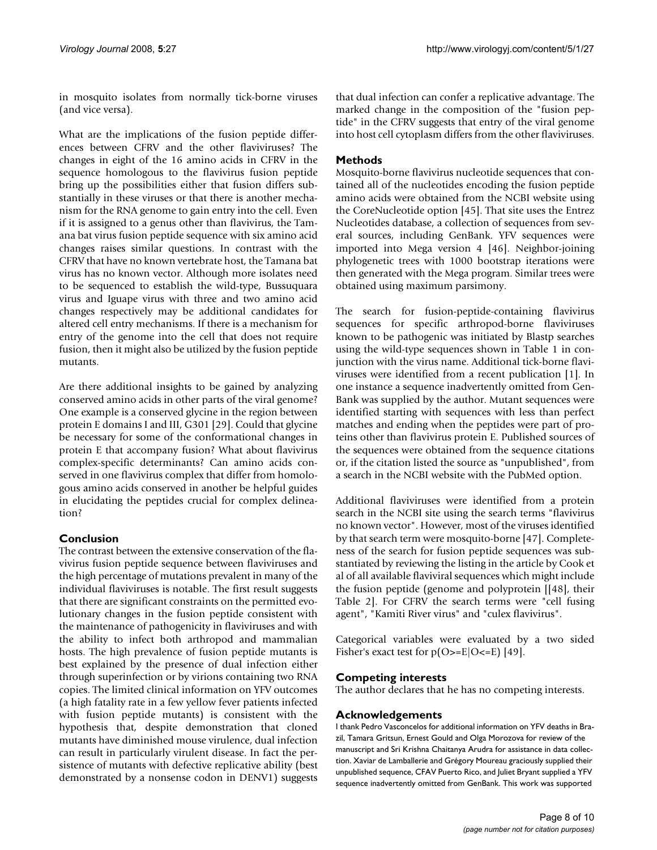in mosquito isolates from normally tick-borne viruses (and vice versa).

What are the implications of the fusion peptide differences between CFRV and the other flaviviruses? The changes in eight of the 16 amino acids in CFRV in the sequence homologous to the flavivirus fusion peptide bring up the possibilities either that fusion differs substantially in these viruses or that there is another mechanism for the RNA genome to gain entry into the cell. Even if it is assigned to a genus other than flavivirus, the Tamana bat virus fusion peptide sequence with six amino acid changes raises similar questions. In contrast with the CFRV that have no known vertebrate host, the Tamana bat virus has no known vector. Although more isolates need to be sequenced to establish the wild-type, Bussuquara virus and Iguape virus with three and two amino acid changes respectively may be additional candidates for altered cell entry mechanisms. If there is a mechanism for entry of the genome into the cell that does not require fusion, then it might also be utilized by the fusion peptide mutants.

Are there additional insights to be gained by analyzing conserved amino acids in other parts of the viral genome? One example is a conserved glycine in the region between protein E domains I and III, G301 [29]. Could that glycine be necessary for some of the conformational changes in protein E that accompany fusion? What about flavivirus complex-specific determinants? Can amino acids conserved in one flavivirus complex that differ from homologous amino acids conserved in another be helpful guides in elucidating the peptides crucial for complex delineation?

# **Conclusion**

The contrast between the extensive conservation of the flavivirus fusion peptide sequence between flaviviruses and the high percentage of mutations prevalent in many of the individual flaviviruses is notable. The first result suggests that there are significant constraints on the permitted evolutionary changes in the fusion peptide consistent with the maintenance of pathogenicity in flaviviruses and with the ability to infect both arthropod and mammalian hosts. The high prevalence of fusion peptide mutants is best explained by the presence of dual infection either through superinfection or by virions containing two RNA copies. The limited clinical information on YFV outcomes (a high fatality rate in a few yellow fever patients infected with fusion peptide mutants) is consistent with the hypothesis that, despite demonstration that cloned mutants have diminished mouse virulence, dual infection can result in particularly virulent disease. In fact the persistence of mutants with defective replicative ability (best demonstrated by a nonsense codon in DENV1) suggests

that dual infection can confer a replicative advantage. The marked change in the composition of the "fusion peptide" in the CFRV suggests that entry of the viral genome into host cell cytoplasm differs from the other flaviviruses.

# **Methods**

Mosquito-borne flavivirus nucleotide sequences that contained all of the nucleotides encoding the fusion peptide amino acids were obtained from the NCBI website using the CoreNucleotide option [45]. That site uses the Entrez Nucleotides database, a collection of sequences from several sources, including GenBank. YFV sequences were imported into Mega version 4 [46]. Neighbor-joining phylogenetic trees with 1000 bootstrap iterations were then generated with the Mega program. Similar trees were obtained using maximum parsimony.

The search for fusion-peptide-containing flavivirus sequences for specific arthropod-borne flaviviruses known to be pathogenic was initiated by Blastp searches using the wild-type sequences shown in Table 1 in conjunction with the virus name. Additional tick-borne flaviviruses were identified from a recent publication [1]. In one instance a sequence inadvertently omitted from Gen-Bank was supplied by the author. Mutant sequences were identified starting with sequences with less than perfect matches and ending when the peptides were part of proteins other than flavivirus protein E. Published sources of the sequences were obtained from the sequence citations or, if the citation listed the source as "unpublished", from a search in the NCBI website with the PubMed option.

Additional flaviviruses were identified from a protein search in the NCBI site using the search terms "flavivirus no known vector". However, most of the viruses identified by that search term were mosquito-borne [47]. Completeness of the search for fusion peptide sequences was substantiated by reviewing the listing in the article by Cook et al of all available flaviviral sequences which might include the fusion peptide (genome and polyprotein [[48], their Table 2]. For CFRV the search terms were "cell fusing agent", "Kamiti River virus" and "culex flavivirus".

Categorical variables were evaluated by a two sided Fisher's exact test for  $p(O>=E|O<=E]$  [49].

# **Competing interests**

The author declares that he has no competing interests.

# **Acknowledgements**

I thank Pedro Vasconcelos for additional information on YFV deaths in Brazil, Tamara Gritsun, Ernest Gould and Olga Morozova for review of the manuscript and Sri Krishna Chaitanya Arudra for assistance in data collection. Xaviar de Lamballerie and Grégory Moureau graciously supplied their unpublished sequence, CFAV Puerto Rico, and Juliet Bryant supplied a YFV sequence inadvertently omitted from GenBank. This work was supported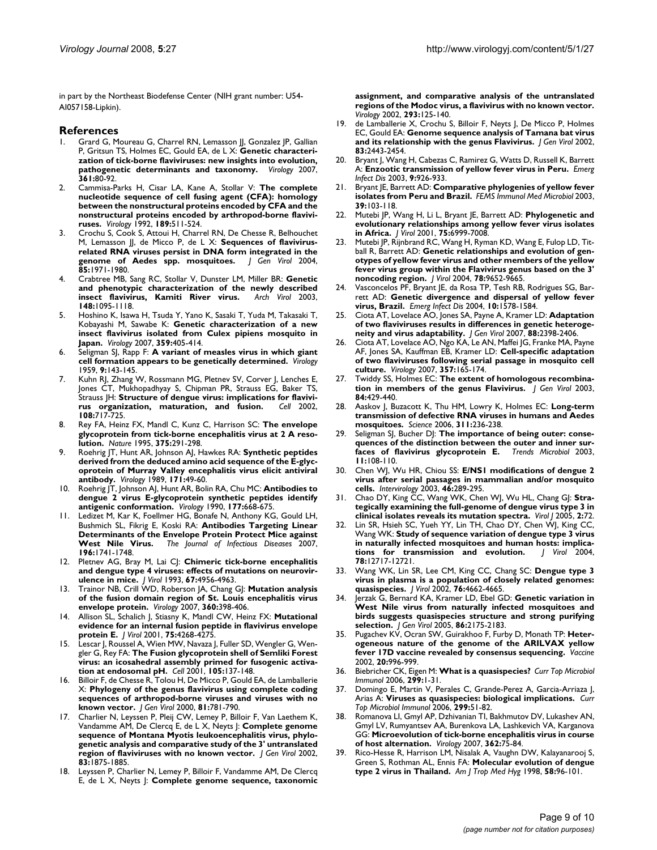in part by the Northeast Biodefense Center (NIH grant number: U54- AI057158-Lipkin).

### **References**

- Grard G, Moureau G, Charrel RN, Lemasson JJ, Gonzalez JP, Gallian P, Gritsun TS, Holmes EC, Gould EA, de L X: **[Genetic characteri](http://www.ncbi.nlm.nih.gov/entrez/query.fcgi?cmd=Retrieve&db=PubMed&dopt=Abstract&list_uids=17169393)[zation of tick-borne flaviviruses: new insights into evolution,](http://www.ncbi.nlm.nih.gov/entrez/query.fcgi?cmd=Retrieve&db=PubMed&dopt=Abstract&list_uids=17169393) [pathogenetic determinants and taxonomy.](http://www.ncbi.nlm.nih.gov/entrez/query.fcgi?cmd=Retrieve&db=PubMed&dopt=Abstract&list_uids=17169393)** *Virology* 2007, **361:**80-92.
- 2. Cammisa-Parks H, Cisar LA, Kane A, Stollar V: **[The complete](http://www.ncbi.nlm.nih.gov/entrez/query.fcgi?cmd=Retrieve&db=PubMed&dopt=Abstract&list_uids=1322586) [nucleotide sequence of cell fusing agent \(CFA\): homology](http://www.ncbi.nlm.nih.gov/entrez/query.fcgi?cmd=Retrieve&db=PubMed&dopt=Abstract&list_uids=1322586) between the nonstructural proteins encoded by CFA and the nonstructural proteins encoded by arthropod-borne flavivi[ruses.](http://www.ncbi.nlm.nih.gov/entrez/query.fcgi?cmd=Retrieve&db=PubMed&dopt=Abstract&list_uids=1322586)** *Virology* 1992, **189:**511-524.
- 3. Crochu S, Cook S, Attoui H, Charrel RN, De Chesse R, Belhouchet M, Lemasson JJ, de Micco P, de L X: **[Sequences of flavivirus](http://www.ncbi.nlm.nih.gov/entrez/query.fcgi?cmd=Retrieve&db=PubMed&dopt=Abstract&list_uids=15218182)[related RNA viruses persist in DNA form integrated in the](http://www.ncbi.nlm.nih.gov/entrez/query.fcgi?cmd=Retrieve&db=PubMed&dopt=Abstract&list_uids=15218182) [genome of Aedes spp. mosquitoes.](http://www.ncbi.nlm.nih.gov/entrez/query.fcgi?cmd=Retrieve&db=PubMed&dopt=Abstract&list_uids=15218182)** *J Gen Virol* 2004, **85:**1971-1980.
- 4. Crabtree MB, Sang RC, Stollar V, Dunster LM, Miller BR: **[Genetic](http://www.ncbi.nlm.nih.gov/entrez/query.fcgi?cmd=Retrieve&db=PubMed&dopt=Abstract&list_uids=12756617) [and phenotypic characterization of the newly described](http://www.ncbi.nlm.nih.gov/entrez/query.fcgi?cmd=Retrieve&db=PubMed&dopt=Abstract&list_uids=12756617)** *[insect flavivirus, Kamiti River virus.](http://www.ncbi.nlm.nih.gov/entrez/query.fcgi?cmd=Retrieve&db=PubMed&dopt=Abstract&list_uids=12756617)* **148:**1095-1118.
- 5. Hoshino K, Isawa H, Tsuda Y, Yano K, Sasaki T, Yuda M, Takasaki T, Kobayashi M, Sawabe K: **[Genetic characterization of a new](http://www.ncbi.nlm.nih.gov/entrez/query.fcgi?cmd=Retrieve&db=PubMed&dopt=Abstract&list_uids=17070886) [insect flavivirus isolated from Culex pipiens mosquito in](http://www.ncbi.nlm.nih.gov/entrez/query.fcgi?cmd=Retrieve&db=PubMed&dopt=Abstract&list_uids=17070886) [Japan.](http://www.ncbi.nlm.nih.gov/entrez/query.fcgi?cmd=Retrieve&db=PubMed&dopt=Abstract&list_uids=17070886)** *Virology* 2007, **359:**405-414.
- 6. Seligman SJ, Rapp F: **[A variant of measles virus in which giant](http://www.ncbi.nlm.nih.gov/entrez/query.fcgi?cmd=Retrieve&db=PubMed&dopt=Abstract&list_uids=14444711) [cell formation appears to be genetically determined.](http://www.ncbi.nlm.nih.gov/entrez/query.fcgi?cmd=Retrieve&db=PubMed&dopt=Abstract&list_uids=14444711)** *Virology* 1959, **9:**143-145.
- 7. Kuhn RJ, Zhang W, Rossmann MG, Pletnev SV, Corver J, Lenches E, Jones CT, Mukhopadhyay S, Chipman PR, Strauss EG, Baker TS, Strauss JH: **[Structure of dengue virus: implications for flavivi](http://www.ncbi.nlm.nih.gov/entrez/query.fcgi?cmd=Retrieve&db=PubMed&dopt=Abstract&list_uids=11893341)**[rus organization, maturation, and fusion.](http://www.ncbi.nlm.nih.gov/entrez/query.fcgi?cmd=Retrieve&db=PubMed&dopt=Abstract&list_uids=11893341) **108:**717-725.
- 8. Rey FA, Heinz FX, Mandl C, Kunz C, Harrison SC: **[The envelope](http://www.ncbi.nlm.nih.gov/entrez/query.fcgi?cmd=Retrieve&db=PubMed&dopt=Abstract&list_uids=7753193) [glycoprotein from tick-borne encephalitis virus at 2 A reso](http://www.ncbi.nlm.nih.gov/entrez/query.fcgi?cmd=Retrieve&db=PubMed&dopt=Abstract&list_uids=7753193)[lution.](http://www.ncbi.nlm.nih.gov/entrez/query.fcgi?cmd=Retrieve&db=PubMed&dopt=Abstract&list_uids=7753193)** *Nature* 1995, **375:**291-298.
- 9. Roehrig JT, Hunt AR, Johnson AJ, Hawkes RA: **[Synthetic peptides](http://www.ncbi.nlm.nih.gov/entrez/query.fcgi?cmd=Retrieve&db=PubMed&dopt=Abstract&list_uids=2472704) [derived from the deduced amino acid sequence of the E-glyc](http://www.ncbi.nlm.nih.gov/entrez/query.fcgi?cmd=Retrieve&db=PubMed&dopt=Abstract&list_uids=2472704)oprotein of Murray Valley encephalitis virus elicit antiviral [antibody.](http://www.ncbi.nlm.nih.gov/entrez/query.fcgi?cmd=Retrieve&db=PubMed&dopt=Abstract&list_uids=2472704)** *Virology* 1989, **171:**49-60.
- 10. Roehrig JT, Johnson AJ, Hunt AR, Bolin RA, Chu MC: **[Antibodies to](http://www.ncbi.nlm.nih.gov/entrez/query.fcgi?cmd=Retrieve&db=PubMed&dopt=Abstract&list_uids=2371772) [dengue 2 virus E-glycoprotein synthetic peptides identify](http://www.ncbi.nlm.nih.gov/entrez/query.fcgi?cmd=Retrieve&db=PubMed&dopt=Abstract&list_uids=2371772) [antigenic conformation.](http://www.ncbi.nlm.nih.gov/entrez/query.fcgi?cmd=Retrieve&db=PubMed&dopt=Abstract&list_uids=2371772)** *Virology* 1990, **177:**668-675.
- 11. Ledizet M, Kar K, Foellmer HG, Bonafe N, Anthony KG, Gould LH, Bushmich SL, Fikrig E, Koski RA: **[Antibodies Targeting Linear](http://www.ncbi.nlm.nih.gov/entrez/query.fcgi?cmd=Retrieve&db=PubMed&dopt=Abstract&list_uids=18190253) [Determinants of the Envelope Protein Protect Mice against](http://www.ncbi.nlm.nih.gov/entrez/query.fcgi?cmd=Retrieve&db=PubMed&dopt=Abstract&list_uids=18190253) [West Nile Virus.](http://www.ncbi.nlm.nih.gov/entrez/query.fcgi?cmd=Retrieve&db=PubMed&dopt=Abstract&list_uids=18190253)** *The Journal of Infectious Diseases* 2007, **196:**1741-1748.
- 12. Pletnev AG, Bray M, Lai CJ: **[Chimeric tick-borne encephalitis](http://www.ncbi.nlm.nih.gov/entrez/query.fcgi?cmd=Retrieve&db=PubMed&dopt=Abstract&list_uids=8331735) [and dengue type 4 viruses: effects of mutations on neurovir](http://www.ncbi.nlm.nih.gov/entrez/query.fcgi?cmd=Retrieve&db=PubMed&dopt=Abstract&list_uids=8331735)[ulence in mice.](http://www.ncbi.nlm.nih.gov/entrez/query.fcgi?cmd=Retrieve&db=PubMed&dopt=Abstract&list_uids=8331735)** *J Virol* 1993, **67:**4956-4963.
- 13. Trainor NB, Crill WD, Roberson JA, Chang GJ: **[Mutation analysis](http://www.ncbi.nlm.nih.gov/entrez/query.fcgi?cmd=Retrieve&db=PubMed&dopt=Abstract&list_uids=17157348) [of the fusion domain region of St. Louis encephalitis virus](http://www.ncbi.nlm.nih.gov/entrez/query.fcgi?cmd=Retrieve&db=PubMed&dopt=Abstract&list_uids=17157348) [envelope protein.](http://www.ncbi.nlm.nih.gov/entrez/query.fcgi?cmd=Retrieve&db=PubMed&dopt=Abstract&list_uids=17157348)** *Virology* 2007, **360:**398-406.
- 14. Allison SL, Schalich J, Stiasny K, Mandl CW, Heinz FX: **[Mutational](http://www.ncbi.nlm.nih.gov/entrez/query.fcgi?cmd=Retrieve&db=PubMed&dopt=Abstract&list_uids=11287576) [evidence for an internal fusion peptide in flavivirus envelope](http://www.ncbi.nlm.nih.gov/entrez/query.fcgi?cmd=Retrieve&db=PubMed&dopt=Abstract&list_uids=11287576) [protein E.](http://www.ncbi.nlm.nih.gov/entrez/query.fcgi?cmd=Retrieve&db=PubMed&dopt=Abstract&list_uids=11287576)** *J Virol* 2001, **75:**4268-4275.
- 15. Lescar J, Roussel A, Wien MW, Navaza J, Fuller SD, Wengler G, Wengler G, Rey FA: **[The Fusion glycoprotein shell of Semliki Forest](http://www.ncbi.nlm.nih.gov/entrez/query.fcgi?cmd=Retrieve&db=PubMed&dopt=Abstract&list_uids=11301009) [virus: an icosahedral assembly primed for fusogenic activa](http://www.ncbi.nlm.nih.gov/entrez/query.fcgi?cmd=Retrieve&db=PubMed&dopt=Abstract&list_uids=11301009)[tion at endosomal pH.](http://www.ncbi.nlm.nih.gov/entrez/query.fcgi?cmd=Retrieve&db=PubMed&dopt=Abstract&list_uids=11301009)** *Cell* 2001, **105:**137-148.
- 16. Billoir F, de Chesse R, Tolou H, De Micco P, Gould EA, de Lamballerie X: **[Phylogeny of the genus flavivirus using complete coding](http://www.ncbi.nlm.nih.gov/entrez/query.fcgi?cmd=Retrieve&db=PubMed&dopt=Abstract&list_uids=10675416) [sequences of arthropod-borne viruses and viruses with no](http://www.ncbi.nlm.nih.gov/entrez/query.fcgi?cmd=Retrieve&db=PubMed&dopt=Abstract&list_uids=10675416) [known vector.](http://www.ncbi.nlm.nih.gov/entrez/query.fcgi?cmd=Retrieve&db=PubMed&dopt=Abstract&list_uids=10675416)** *J Gen Virol* 2000, **81:**781-790.
- 17. Charlier N, Leyssen P, Pleij CW, Lemey P, Billoir F, Van Laethem K, Vandamme AM, De Clercq E, de L X, Neyts J: **[Complete genome](http://www.ncbi.nlm.nih.gov/entrez/query.fcgi?cmd=Retrieve&db=PubMed&dopt=Abstract&list_uids=12124451) [sequence of Montana Myotis leukoencephalitis virus, phylo](http://www.ncbi.nlm.nih.gov/entrez/query.fcgi?cmd=Retrieve&db=PubMed&dopt=Abstract&list_uids=12124451)genetic analysis and comparative study of the 3' untranslated [region of flaviviruses with no known vector.](http://www.ncbi.nlm.nih.gov/entrez/query.fcgi?cmd=Retrieve&db=PubMed&dopt=Abstract&list_uids=12124451)** *J Gen Virol* 2002, **83:**1875-1885.
- 18. Leyssen P, Charlier N, Lemey P, Billoir F, Vandamme AM, De Clercq E, de L X, Neyts J: **[Complete genome sequence, taxonomic](http://www.ncbi.nlm.nih.gov/entrez/query.fcgi?cmd=Retrieve&db=PubMed&dopt=Abstract&list_uids=11853406)**

**[assignment, and comparative analysis of the untranslated](http://www.ncbi.nlm.nih.gov/entrez/query.fcgi?cmd=Retrieve&db=PubMed&dopt=Abstract&list_uids=11853406) regions of the Modoc virus, a flavivirus with no known vector.** *Virology* 2002, **293:**125-140.

- 19. de Lamballerie X, Crochu S, Billoir F, Neyts J, De Micco P, Holmes EC, Gould EA: **[Genome sequence analysis of Tamana bat virus](http://www.ncbi.nlm.nih.gov/entrez/query.fcgi?cmd=Retrieve&db=PubMed&dopt=Abstract&list_uids=12237426) [and its relationship with the genus Flavivirus.](http://www.ncbi.nlm.nih.gov/entrez/query.fcgi?cmd=Retrieve&db=PubMed&dopt=Abstract&list_uids=12237426)** *J Gen Virol* 2002, **83:**2443-2454.
- 20. Bryant J, Wang H, Cabezas C, Ramirez G, Watts D, Russell K, Barrett A: **[Enzootic transmission of yellow fever virus in Peru.](http://www.ncbi.nlm.nih.gov/entrez/query.fcgi?cmd=Retrieve&db=PubMed&dopt=Abstract&list_uids=12967489)** *Emerg Infect Dis* 2003, **9:**926-933.
- 21. Bryant JE, Barrett AD: **[Comparative phylogenies of yellow fever](http://www.ncbi.nlm.nih.gov/entrez/query.fcgi?cmd=Retrieve&db=PubMed&dopt=Abstract&list_uids=14625093) [isolates from Peru and Brazil.](http://www.ncbi.nlm.nih.gov/entrez/query.fcgi?cmd=Retrieve&db=PubMed&dopt=Abstract&list_uids=14625093)** *FEMS Immunol Med Microbiol* 2003, **39:**103-118.
- 22. Mutebi JP, Wang H, Li L, Bryant JE, Barrett AD: **[Phylogenetic and](http://www.ncbi.nlm.nih.gov/entrez/query.fcgi?cmd=Retrieve&db=PubMed&dopt=Abstract&list_uids=11435580) [evolutionary relationships among yellow fever virus isolates](http://www.ncbi.nlm.nih.gov/entrez/query.fcgi?cmd=Retrieve&db=PubMed&dopt=Abstract&list_uids=11435580) [in Africa.](http://www.ncbi.nlm.nih.gov/entrez/query.fcgi?cmd=Retrieve&db=PubMed&dopt=Abstract&list_uids=11435580)** *J Virol* 2001, **75:**6999-7008.
- Mutebi JP, Rijnbrand RC, Wang H, Ryman KD, Wang E, Fulop LD, Titball R, Barrett AD: **[Genetic relationships and evolution of gen](http://www.ncbi.nlm.nih.gov/entrez/query.fcgi?cmd=Retrieve&db=PubMed&dopt=Abstract&list_uids=15331698)[otypes of yellow fever virus and other members of the yellow](http://www.ncbi.nlm.nih.gov/entrez/query.fcgi?cmd=Retrieve&db=PubMed&dopt=Abstract&list_uids=15331698) fever virus group within the Flavivirus genus based on the 3' [noncoding region.](http://www.ncbi.nlm.nih.gov/entrez/query.fcgi?cmd=Retrieve&db=PubMed&dopt=Abstract&list_uids=15331698)** *J Virol* 2004, **78:**9652-9665.
- 24. Vasconcelos PF, Bryant JE, da Rosa TP, Tesh RB, Rodrigues SG, Barrett AD: **[Genetic divergence and dispersal of yellow fever](http://www.ncbi.nlm.nih.gov/entrez/query.fcgi?cmd=Retrieve&db=PubMed&dopt=Abstract&list_uids=15498159) [virus, Brazil.](http://www.ncbi.nlm.nih.gov/entrez/query.fcgi?cmd=Retrieve&db=PubMed&dopt=Abstract&list_uids=15498159)** *Emerg Infect Dis* 2004, **10:**1578-1584.
- 25. Ciota AT, Lovelace AO, Jones SA, Payne A, Kramer LD: **[Adaptation](http://www.ncbi.nlm.nih.gov/entrez/query.fcgi?cmd=Retrieve&db=PubMed&dopt=Abstract&list_uids=17698648) [of two flaviviruses results in differences in genetic heteroge](http://www.ncbi.nlm.nih.gov/entrez/query.fcgi?cmd=Retrieve&db=PubMed&dopt=Abstract&list_uids=17698648)[neity and virus adaptability.](http://www.ncbi.nlm.nih.gov/entrez/query.fcgi?cmd=Retrieve&db=PubMed&dopt=Abstract&list_uids=17698648)** *J Gen Virol* 2007, **88:**2398-2406.
- 26. Ciota AT, Lovelace AO, Ngo KA, Le AN, Maffei JG, Franke MA, Payne AF, Jones SA, Kauffman EB, Kramer LD: **[Cell-specific adaptation](http://www.ncbi.nlm.nih.gov/entrez/query.fcgi?cmd=Retrieve&db=PubMed&dopt=Abstract&list_uids=16963095) [of two flaviviruses following serial passage in mosquito cell](http://www.ncbi.nlm.nih.gov/entrez/query.fcgi?cmd=Retrieve&db=PubMed&dopt=Abstract&list_uids=16963095) [culture.](http://www.ncbi.nlm.nih.gov/entrez/query.fcgi?cmd=Retrieve&db=PubMed&dopt=Abstract&list_uids=16963095)** *Virology* 2007, **357:**165-174.
- 27. Twiddy SS, Holmes EC: **[The extent of homologous recombina](http://www.ncbi.nlm.nih.gov/entrez/query.fcgi?cmd=Retrieve&db=PubMed&dopt=Abstract&list_uids=12560576)[tion in members of the genus Flavivirus.](http://www.ncbi.nlm.nih.gov/entrez/query.fcgi?cmd=Retrieve&db=PubMed&dopt=Abstract&list_uids=12560576)** *J Gen Virol* 2003, **84:**429-440.
- 28. Aaskov J, Buzacott K, Thu HM, Lowry K, Holmes EC: **[Long-term](http://www.ncbi.nlm.nih.gov/entrez/query.fcgi?cmd=Retrieve&db=PubMed&dopt=Abstract&list_uids=16410525) [transmission of defective RNA viruses in humans and Aedes](http://www.ncbi.nlm.nih.gov/entrez/query.fcgi?cmd=Retrieve&db=PubMed&dopt=Abstract&list_uids=16410525) [mosquitoes.](http://www.ncbi.nlm.nih.gov/entrez/query.fcgi?cmd=Retrieve&db=PubMed&dopt=Abstract&list_uids=16410525)** *Science* 2006, **311:**236-238.
- 29. Seligman SJ, Bucher DJ: **[The importance of being outer: conse](http://www.ncbi.nlm.nih.gov/entrez/query.fcgi?cmd=Retrieve&db=PubMed&dopt=Abstract&list_uids=12648938)[quences of the distinction between the outer and inner sur](http://www.ncbi.nlm.nih.gov/entrez/query.fcgi?cmd=Retrieve&db=PubMed&dopt=Abstract&list_uids=12648938)[faces of flavivirus glycoprotein E.](http://www.ncbi.nlm.nih.gov/entrez/query.fcgi?cmd=Retrieve&db=PubMed&dopt=Abstract&list_uids=12648938)** *Trends Microbiol* 2003, **11:**108-110.
- 30. Chen WJ, Wu HR, Chiou SS: **[E/NS1 modifications of dengue 2](http://www.ncbi.nlm.nih.gov/entrez/query.fcgi?cmd=Retrieve&db=PubMed&dopt=Abstract&list_uids=14555849) [virus after serial passages in mammalian and/or mosquito](http://www.ncbi.nlm.nih.gov/entrez/query.fcgi?cmd=Retrieve&db=PubMed&dopt=Abstract&list_uids=14555849) [cells.](http://www.ncbi.nlm.nih.gov/entrez/query.fcgi?cmd=Retrieve&db=PubMed&dopt=Abstract&list_uids=14555849)** *Intervirology* 2003, **46:**289-295.
- 31. Chao DY, King CC, Wang WK, Chen WJ, Wu HL, Chang G|: [Stra](http://www.ncbi.nlm.nih.gov/entrez/query.fcgi?cmd=Retrieve&db=PubMed&dopt=Abstract&list_uids=16120221)**[tegically examining the full-genome of dengue virus type 3 in](http://www.ncbi.nlm.nih.gov/entrez/query.fcgi?cmd=Retrieve&db=PubMed&dopt=Abstract&list_uids=16120221) [clinical isolates reveals its mutation spectra.](http://www.ncbi.nlm.nih.gov/entrez/query.fcgi?cmd=Retrieve&db=PubMed&dopt=Abstract&list_uids=16120221)** *Virol J* 2005, **2:**72.
- Lin SR, Hsieh SC, Yueh YY, Lin TH, Chao DY, Chen WJ, King CC, Wang WK: **[Study of sequence variation of dengue type 3 virus](http://www.ncbi.nlm.nih.gov/entrez/query.fcgi?cmd=Retrieve&db=PubMed&dopt=Abstract&list_uids=15507664) [in naturally infected mosquitoes and human hosts: implica](http://www.ncbi.nlm.nih.gov/entrez/query.fcgi?cmd=Retrieve&db=PubMed&dopt=Abstract&list_uids=15507664)[tions for transmission and evolution.](http://www.ncbi.nlm.nih.gov/entrez/query.fcgi?cmd=Retrieve&db=PubMed&dopt=Abstract&list_uids=15507664)** *J Virol* 2004, **78:**12717-12721.
- 33. Wang WK, Lin SR, Lee CM, King CC, Chang SC: **[Dengue type 3](http://www.ncbi.nlm.nih.gov/entrez/query.fcgi?cmd=Retrieve&db=PubMed&dopt=Abstract&list_uids=11932434) [virus in plasma is a population of closely related genomes:](http://www.ncbi.nlm.nih.gov/entrez/query.fcgi?cmd=Retrieve&db=PubMed&dopt=Abstract&list_uids=11932434) [quasispecies.](http://www.ncbi.nlm.nih.gov/entrez/query.fcgi?cmd=Retrieve&db=PubMed&dopt=Abstract&list_uids=11932434)** *J Virol* 2002, **76:**4662-4665.
- 34. Jerzak G, Bernard KA, Kramer LD, Ebel GD: **[Genetic variation in](http://www.ncbi.nlm.nih.gov/entrez/query.fcgi?cmd=Retrieve&db=PubMed&dopt=Abstract&list_uids=16033965) West Nile virus from naturally infected mosquitoes and [birds suggests quasispecies structure and strong purifying](http://www.ncbi.nlm.nih.gov/entrez/query.fcgi?cmd=Retrieve&db=PubMed&dopt=Abstract&list_uids=16033965) [selection.](http://www.ncbi.nlm.nih.gov/entrez/query.fcgi?cmd=Retrieve&db=PubMed&dopt=Abstract&list_uids=16033965)** *J Gen Virol* 2005, **86:**2175-2183.
- 35. Pugachev KV, Ocran SW, Guirakhoo F, Furby D, Monath TP: **[Heter](http://www.ncbi.nlm.nih.gov/entrez/query.fcgi?cmd=Retrieve&db=PubMed&dopt=Abstract&list_uids=11803058)[ogeneous nature of the genome of the ARILVAX yellow](http://www.ncbi.nlm.nih.gov/entrez/query.fcgi?cmd=Retrieve&db=PubMed&dopt=Abstract&list_uids=11803058) [fever 17D vaccine revealed by consensus sequencing.](http://www.ncbi.nlm.nih.gov/entrez/query.fcgi?cmd=Retrieve&db=PubMed&dopt=Abstract&list_uids=11803058)** *Vaccine* 2002, **20:**996-999.
- 36. Biebricher CK, Eigen M: **[What is a quasispecies?](http://www.ncbi.nlm.nih.gov/entrez/query.fcgi?cmd=Retrieve&db=PubMed&dopt=Abstract&list_uids=16568894)** *Curr Top Microbiol Immunol* 2006, **299:**1-31.
- 37. Domingo E, Martin V, Perales C, Grande-Perez A, Garcia-Arriaza J, Arias A: **[Viruses as quasispecies: biological implications.](http://www.ncbi.nlm.nih.gov/entrez/query.fcgi?cmd=Retrieve&db=PubMed&dopt=Abstract&list_uids=16568896)** *Curr Top Microbiol Immunol* 2006, **299:**51-82.
- 38. Romanova LI, Gmyl AP, Dzhivanian TI, Bakhmutov DV, Lukashev AN, Gmyl LV, Rumyantsev AA, Burenkova LA, Lashkevich VA, Karganova GG: **[Microevolution of tick-borne encephalitis virus in course](http://www.ncbi.nlm.nih.gov/entrez/query.fcgi?cmd=Retrieve&db=PubMed&dopt=Abstract&list_uids=17258260) [of host alternation.](http://www.ncbi.nlm.nih.gov/entrez/query.fcgi?cmd=Retrieve&db=PubMed&dopt=Abstract&list_uids=17258260)** *Virology* 2007, **362:**75-84.
- Rico-Hesse R, Harrison LM, Nisalak A, Vaughn DW, Kalayanarooj S, Green S, Rothman AL, Ennis FA: **[Molecular evolution of dengue](http://www.ncbi.nlm.nih.gov/entrez/query.fcgi?cmd=Retrieve&db=PubMed&dopt=Abstract&list_uids=9452299) [type 2 virus in Thailand.](http://www.ncbi.nlm.nih.gov/entrez/query.fcgi?cmd=Retrieve&db=PubMed&dopt=Abstract&list_uids=9452299)** *Am J Trop Med Hyg* 1998, **58:**96-101.